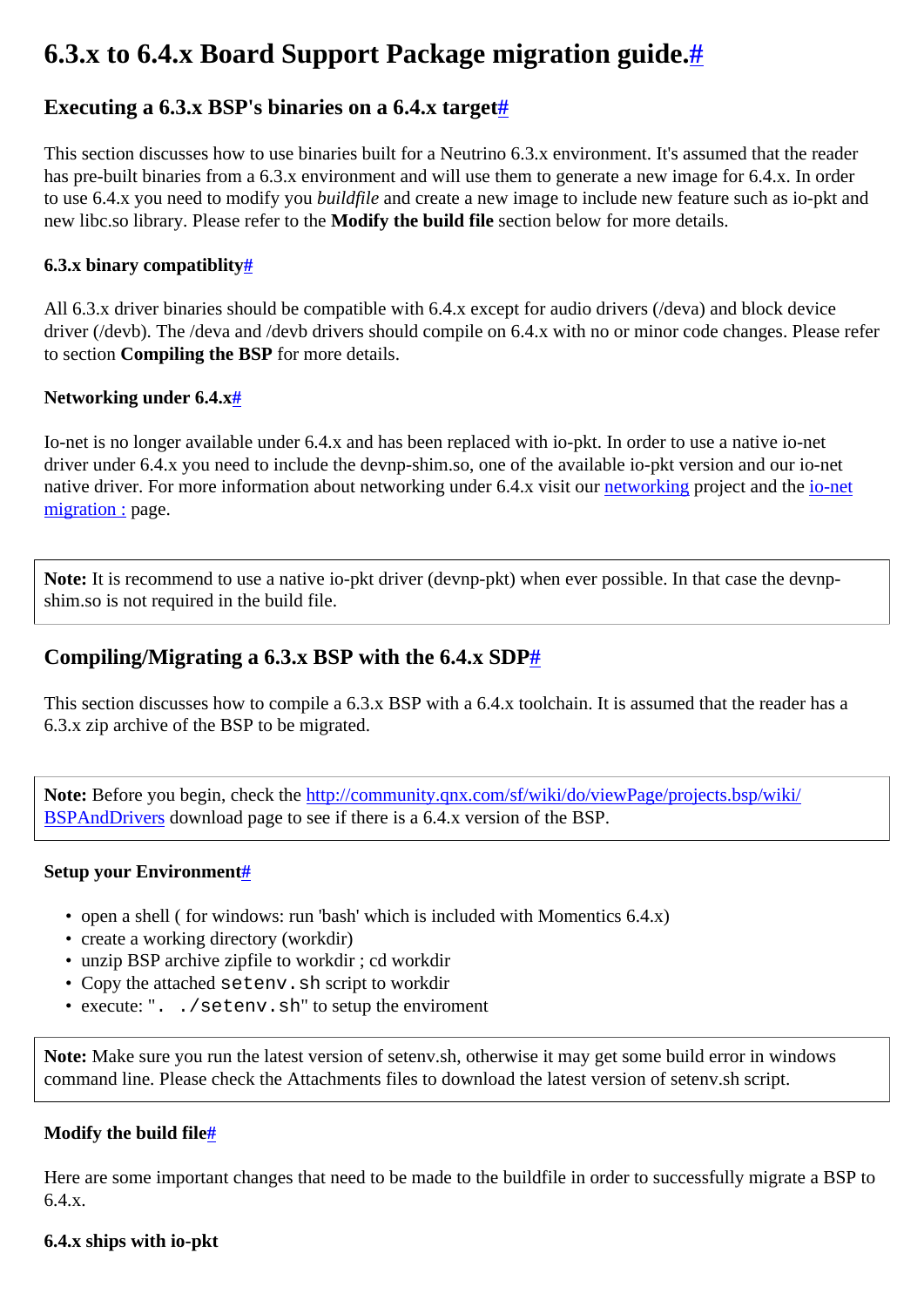# <span id="page-0-0"></span>**6.3.x to 6.4.x Board Support Package migration guide[.#](#page-0-0)**

# <span id="page-0-1"></span>Executing a 6.3.x BSP's binaries on a 6.4.x target[#](#page-0-1)

This section discusses how to use binaries built for a Neutrino 6.3.x environment. It's assumed that the reader has pre-built binaries from a 6.3.x environment and will use them to generate a new image for 6.4.x. In order to use 6.4.x you need to modify you *buildfile* and create a new image to include new feature such as io-pkt and new libc.so library. Please refer to the **Modify the build file** section below for more details.

#### <span id="page-0-2"></span>**6.3.x binary compatiblit[y#](#page-0-2)**

All 6.3.x driver binaries should be compatible with 6.4.x except for audio drivers (/deva) and block device driver (/devb). The /deva and /devb drivers should compile on 6.4.x with no or minor code changes. Please refer to section **Compiling the BSP** for more details.

#### <span id="page-0-3"></span>**Networking under 6.4.x[#](#page-0-3)**

Io-net is no longer available under 6.4.x and has been replaced with io-pkt. In order to use a native io-net driver under 6.4.x you need to include the devnp-shim.so, one of the available io-pkt version and our io-net native driver. For more information about networking under 6.4.x visit our [networking](http://community.qnx.com/sf/projects/networking) project and the [io-net](http://community.qnx.com/sf/wiki/do/viewPage/projects.networking/wiki/IoNet_migration) [migration :](http://community.qnx.com/sf/wiki/do/viewPage/projects.networking/wiki/IoNet_migration) page.

Note: It is recommend to use a native io-pkt driver (devnp-pkt) when ever possible. In that case the devnpshim.so is not required in the build file.

# <span id="page-0-4"></span>**Compiling/Migrating a 6.3.x BSP with the 6.4.x SDP[#](#page-0-4)**

This section discusses how to compile a 6.3.x BSP with a 6.4.x toolchain. It is assumed that the reader has a 6.3.x zip archive of the BSP to be migrated.

**Note:** Before you begin, check the [http://community.qnx.com/sf/wiki/do/viewPage/projects.bsp/wiki/](http://community.qnx.com/sf/wiki/do/viewPage/projects.bsp/wiki/BSPAndDrivers) [BSPAndDrivers](http://community.qnx.com/sf/wiki/do/viewPage/projects.bsp/wiki/BSPAndDrivers) download page to see if there is a 6.4.x version of the BSP.

#### <span id="page-0-5"></span>**Setup your Environment[#](#page-0-5)**

- open a shell ( for windows: run 'bash' which is included with Momentics 6.4.x)
- create a working directory (workdir)
- unzip BSP archive zipfile to workdir ; cd workdir
- Copy the attached setenv.sh script to workdir
- execute: ". . / setenv.sh" to setup the enviroment

**Note:** Make sure you run the latest version of setenv.sh, otherwise it may get some build error in windows command line. Please check the Attachments files to download the latest version of setenv.sh script.

## <span id="page-0-6"></span>**Modify the build fil[e#](#page-0-6)**

Here are some important changes that need to be made to the buildfile in order to successfully migrate a BSP to 6.4.x.

#### **6.4.x ships with io-pkt**